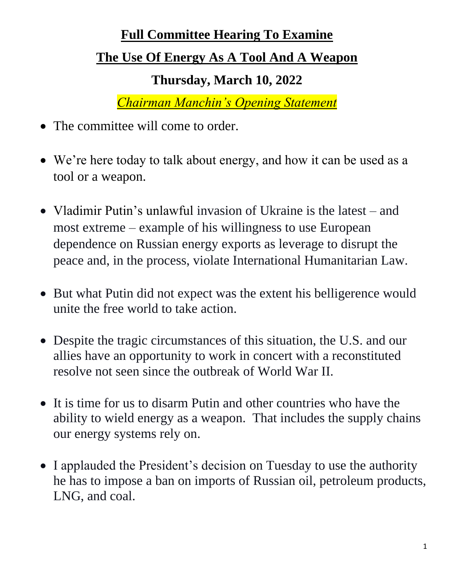## **Full Committee Hearing To Examine The Use Of Energy As A Tool And A Weapon**

## **Thursday, March 10, 2022**

*Chairman Manchin's Opening Statement*

- The committee will come to order.
- We're here today to talk about energy, and how it can be used as a tool or a weapon.
- Vladimir Putin's unlawful invasion of Ukraine is the latest and most extreme – example of his willingness to use European dependence on Russian energy exports as leverage to disrupt the peace and, in the process, violate International Humanitarian Law.
- But what Putin did not expect was the extent his belligerence would unite the free world to take action.
- Despite the tragic circumstances of this situation, the U.S. and our allies have an opportunity to work in concert with a reconstituted resolve not seen since the outbreak of World War II.
- It is time for us to disarm Putin and other countries who have the ability to wield energy as a weapon. That includes the supply chains our energy systems rely on.
- I applauded the President's decision on Tuesday to use the authority he has to impose a ban on imports of Russian oil, petroleum products, LNG, and coal.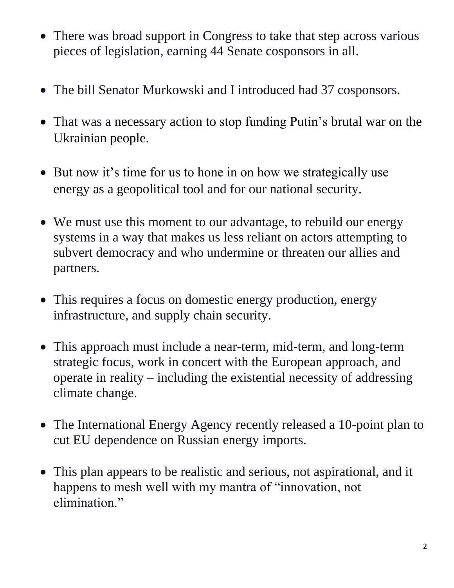- There was broad support in Congress to take that step across various pieces of legislation, earning 44 Senate cosponsors in all.
- The bill Senator Murkowski and I introduced had 37 cosponsors.
- That was a necessary action to stop funding Putin's brutal war on the Ukrainian people.
- But now it's time for us to hone in on how we strategically use energy as a geopolitical tool and for our national security.
- We must use this moment to our advantage, to rebuild our energy systems in a way that makes us less reliant on actors attempting to subvert democracy and who undermine or threaten our allies and partners.
- This requires a focus on domestic energy production, energy infrastructure, and supply chain security.
- This approach must include a near-term, mid-term, and long-term strategic focus, work in concert with the European approach, and operate in reality – including the existential necessity of addressing climate change.
- The International Energy Agency recently released a 10-point plan to cut EU dependence on Russian energy imports.
- This plan appears to be realistic and serious, not aspirational, and it happens to mesh well with my mantra of "innovation, not elimination."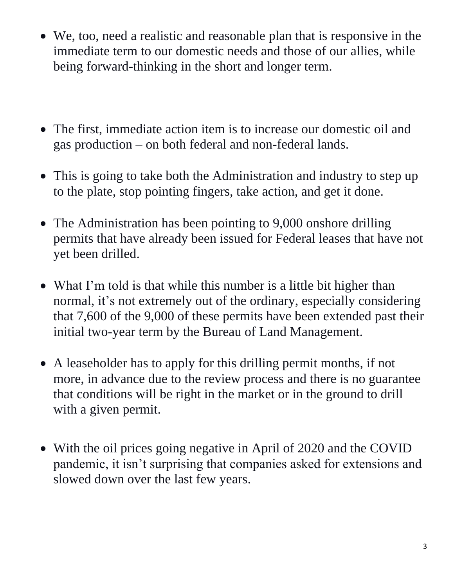- We, too, need a realistic and reasonable plan that is responsive in the immediate term to our domestic needs and those of our allies, while being forward-thinking in the short and longer term.
- The first, immediate action item is to increase our domestic oil and gas production – on both federal and non-federal lands.
- This is going to take both the Administration and industry to step up to the plate, stop pointing fingers, take action, and get it done.
- The Administration has been pointing to 9,000 onshore drilling permits that have already been issued for Federal leases that have not yet been drilled.
- What I'm told is that while this number is a little bit higher than normal, it's not extremely out of the ordinary, especially considering that 7,600 of the 9,000 of these permits have been extended past their initial two-year term by the Bureau of Land Management.
- A leaseholder has to apply for this drilling permit months, if not more, in advance due to the review process and there is no guarantee that conditions will be right in the market or in the ground to drill with a given permit.
- With the oil prices going negative in April of 2020 and the COVID pandemic, it isn't surprising that companies asked for extensions and slowed down over the last few years.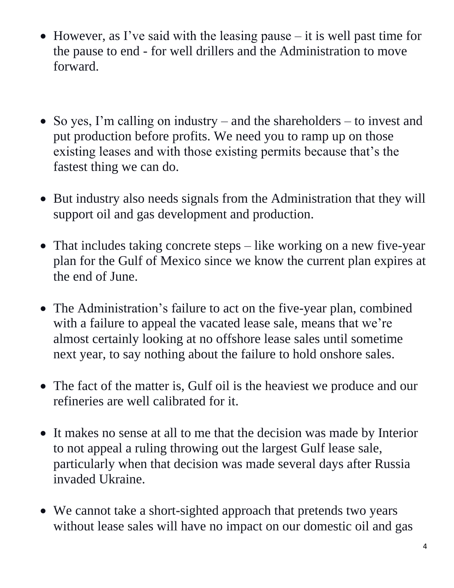- However, as I've said with the leasing pause it is well past time for the pause to end - for well drillers and the Administration to move forward.
- So yes, I'm calling on industry and the shareholders to invest and put production before profits. We need you to ramp up on those existing leases and with those existing permits because that's the fastest thing we can do.
- But industry also needs signals from the Administration that they will support oil and gas development and production.
- That includes taking concrete steps like working on a new five-year plan for the Gulf of Mexico since we know the current plan expires at the end of June.
- The Administration's failure to act on the five-year plan, combined with a failure to appeal the vacated lease sale, means that we're almost certainly looking at no offshore lease sales until sometime next year, to say nothing about the failure to hold onshore sales.
- The fact of the matter is, Gulf oil is the heaviest we produce and our refineries are well calibrated for it.
- It makes no sense at all to me that the decision was made by Interior to not appeal a ruling throwing out the largest Gulf lease sale, particularly when that decision was made several days after Russia invaded Ukraine.
- We cannot take a short-sighted approach that pretends two years without lease sales will have no impact on our domestic oil and gas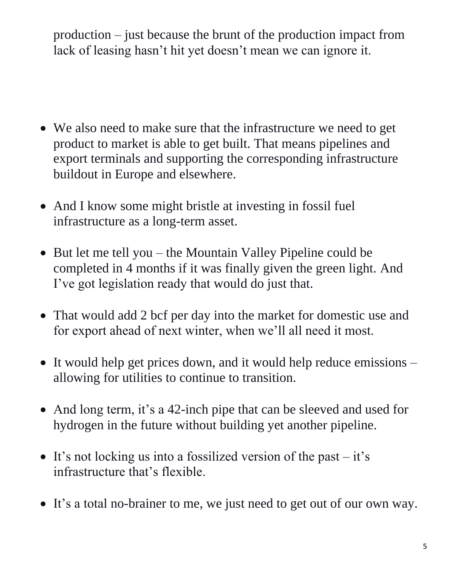production – just because the brunt of the production impact from lack of leasing hasn't hit yet doesn't mean we can ignore it.

- We also need to make sure that the infrastructure we need to get product to market is able to get built. That means pipelines and export terminals and supporting the corresponding infrastructure buildout in Europe and elsewhere.
- And I know some might bristle at investing in fossil fuel infrastructure as a long-term asset.
- But let me tell you the Mountain Valley Pipeline could be completed in 4 months if it was finally given the green light. And I've got legislation ready that would do just that.
- That would add 2 bcf per day into the market for domestic use and for export ahead of next winter, when we'll all need it most.
- It would help get prices down, and it would help reduce emissions allowing for utilities to continue to transition.
- And long term, it's a 42-inch pipe that can be sleeved and used for hydrogen in the future without building yet another pipeline.
- It's not locking us into a fossilized version of the past it's infrastructure that's flexible.
- It's a total no-brainer to me, we just need to get out of our own way.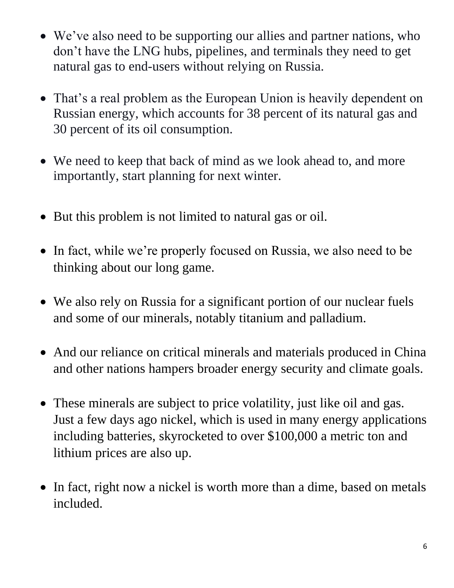- We've also need to be supporting our allies and partner nations, who don't have the LNG hubs, pipelines, and terminals they need to get natural gas to end-users without relying on Russia.
- That's a real problem as the European Union is heavily dependent on Russian energy, which accounts for 38 percent of its natural gas and 30 percent of its oil consumption.
- We need to keep that back of mind as we look ahead to, and more importantly, start planning for next winter.
- But this problem is not limited to natural gas or oil.
- In fact, while we're properly focused on Russia, we also need to be thinking about our long game.
- We also rely on Russia for a significant portion of our nuclear fuels and some of our minerals, notably titanium and palladium.
- And our reliance on critical minerals and materials produced in China and other nations hampers broader energy security and climate goals.
- These minerals are subject to price volatility, just like oil and gas. Just a few days ago nickel, which is used in many energy applications including batteries, skyrocketed to over \$100,000 a metric ton and lithium prices are also up.
- In fact, right now a nickel is worth more than a dime, based on metals included.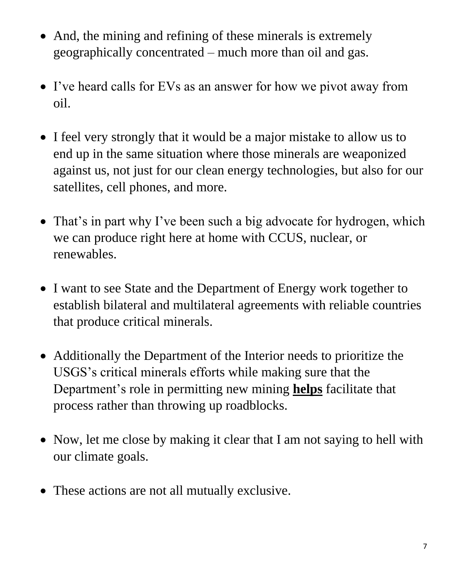- And, the mining and refining of these minerals is extremely geographically concentrated – much more than oil and gas.
- I've heard calls for EVs as an answer for how we pivot away from oil.
- I feel very strongly that it would be a major mistake to allow us to end up in the same situation where those minerals are weaponized against us, not just for our clean energy technologies, but also for our satellites, cell phones, and more.
- That's in part why I've been such a big advocate for hydrogen, which we can produce right here at home with CCUS, nuclear, or renewables.
- I want to see State and the Department of Energy work together to establish bilateral and multilateral agreements with reliable countries that produce critical minerals.
- Additionally the Department of the Interior needs to prioritize the USGS's critical minerals efforts while making sure that the Department's role in permitting new mining **helps** facilitate that process rather than throwing up roadblocks.
- Now, let me close by making it clear that I am not saying to hell with our climate goals.
- These actions are not all mutually exclusive.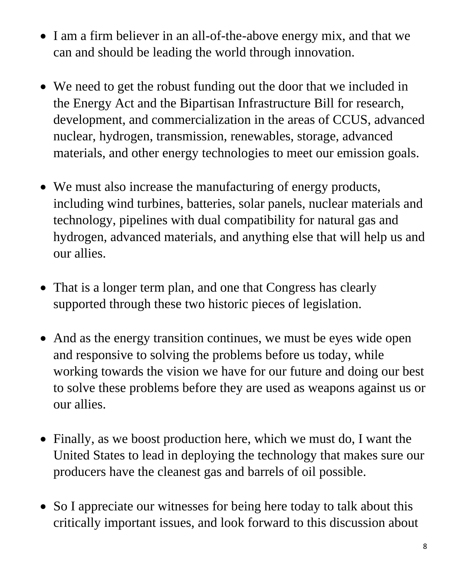- I am a firm believer in an all-of-the-above energy mix, and that we can and should be leading the world through innovation.
- We need to get the robust funding out the door that we included in the Energy Act and the Bipartisan Infrastructure Bill for research, development, and commercialization in the areas of CCUS, advanced nuclear, hydrogen, transmission, renewables, storage, advanced materials, and other energy technologies to meet our emission goals.
- We must also increase the manufacturing of energy products, including wind turbines, batteries, solar panels, nuclear materials and technology, pipelines with dual compatibility for natural gas and hydrogen, advanced materials, and anything else that will help us and our allies.
- That is a longer term plan, and one that Congress has clearly supported through these two historic pieces of legislation.
- And as the energy transition continues, we must be eyes wide open and responsive to solving the problems before us today, while working towards the vision we have for our future and doing our best to solve these problems before they are used as weapons against us or our allies.
- Finally, as we boost production here, which we must do, I want the United States to lead in deploying the technology that makes sure our producers have the cleanest gas and barrels of oil possible.
- So I appreciate our witnesses for being here today to talk about this critically important issues, and look forward to this discussion about